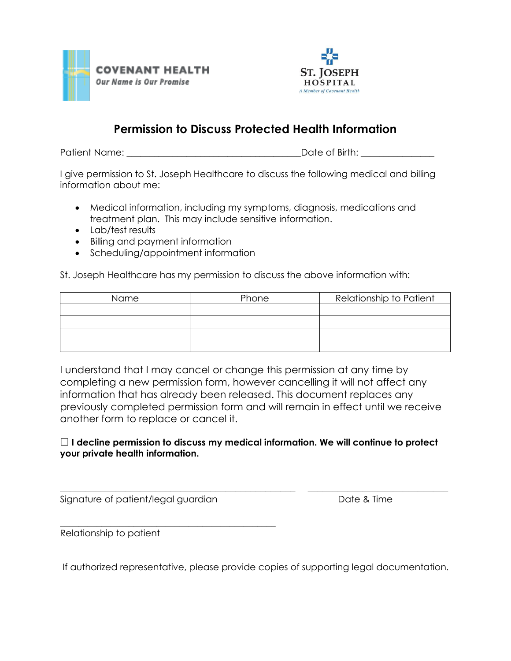



## **Permission to Discuss Protected Health Information**

Patient Name: \_\_\_\_\_\_\_\_\_\_\_\_\_\_\_\_\_\_\_\_\_\_\_\_\_\_\_\_\_\_\_\_\_\_\_\_\_\_Date of Birth: \_\_\_\_\_\_\_\_\_\_\_\_\_\_\_\_

I give permission to St. Joseph Healthcare to discuss the following medical and billing information about me:

- Medical information, including my symptoms, diagnosis, medications and treatment plan. This may include sensitive information.
- Lab/test results
- Billing and payment information
- Scheduling/appointment information

St. Joseph Healthcare has my permission to discuss the above information with:

| Name | Phone | Relationship to Patient |
|------|-------|-------------------------|
|      |       |                         |
|      |       |                         |
|      |       |                         |
|      |       |                         |

I understand that I may cancel or change this permission at any time by completing a new permission form, however cancelling it will not affect any information that has already been released. This document replaces any previously completed permission form and will remain in effect until we receive another form to replace or cancel it.

## **I decline permission to discuss my medical information. We will continue to protect your private health information.**

\_\_\_\_\_\_\_\_\_\_\_\_\_\_\_\_\_\_\_\_\_\_\_\_\_\_\_\_\_\_\_\_\_\_\_\_\_\_\_\_\_\_\_\_\_\_\_ \_\_\_\_\_\_\_\_\_\_\_\_\_\_\_\_\_\_\_\_\_\_\_\_\_\_\_\_

Signature of patient/legal guardian Date & Time

\_\_\_\_\_\_\_\_\_\_\_\_\_\_\_\_\_\_\_\_\_\_\_\_\_\_\_\_\_\_\_\_\_\_\_\_\_\_\_\_\_\_\_\_\_\_\_ Relationship to patient

If authorized representative, please provide copies of supporting legal documentation.